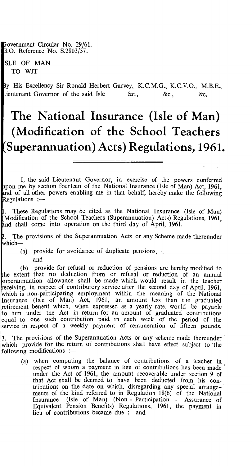Fovernment Circular No. 29/61. .0. Reference No. S.2803/57.

SLE OF MAN TO WIT

y His Excellency Sir Ronald Herbert Garvey, K.C.M.G., K.C.V.O., M.B.E., Lieutenant Governor of the said Isle  $\&c., \qquad \&c., \qquad \&c.$ 

## **The National Insurance (Isle of Man) (Modification of the School Teachers Superannuation) Acts) Regulations, 1961.**

I, the said Lieutenant Governor, in exercise of the powers conferred pon me by section fourteen of the National Insurance (Isle of Man) Act, 1961, nd of all other powers enabling me in that behalf, hereby make the following Regulations : $-$ 

. These Regulations may be cited as the National Insurance (Isle of Man) Modification of the School Teachers (Superannuation) Acts) Regulations, 1961, nd shall come into operation on the third day of April, 1961.

. The provisions of the Superannuation Acts or any Scheme made thereunder 2. The<br>which-

(a) provide for avoidance of duplicate pensions, and

(b) provide for refusal or reduction of pensions are hereby modified to he extent that no deduction from or refusal or reduction of an annual superannuation allowance shall be made which would result in the teacher receiving, in respect of contributory service after the second day of April, 1961, hich is non-participating employment within the meaning of the National Insurance (Isle of Man) Act, 1961, an amount less than the graduated retirement benefit which, when expressed as a yearly rate, would be payable to him under the Act in return for an amount of graduated contributions equal to one such contribution paid in each week of the period of the service in respect of a weekly payment of remuneration of fifteen pounds.

13. The provisions of the Superannuation Acts or any scheme made thereunder which provide for the return of contributions shall have effect subject to the following modifications :-

(a) when computing the balance of contributions of a teacher in respect of whom a payment in lieu of contributions has been made under the Act of 1961, the amount recoverable under section 9 of that Act shall be deemed to have been deducted from his contributions on the date on which, disregarding any special arrangements of the kind referred to in Regulation 18(6) of the National Insurance (Isle of Man) (Non - Participation - Assurance of Equivalent Pension Benefits) Regulations, 1961, the payment in lieu of contributions became due ; and